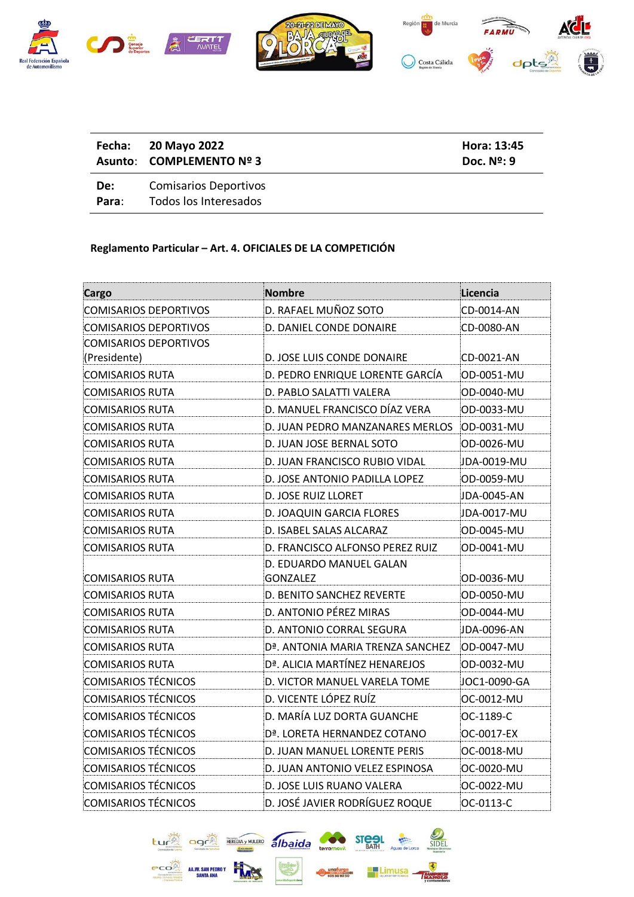

|              | Fecha: 20 Mayo 2022<br>Asunto: COMPLEMENTO Nº 3       | Hora: 13:45<br>Doc. $N2$ : 9 |
|--------------|-------------------------------------------------------|------------------------------|
| De:<br>Para: | <b>Comisarios Deportivos</b><br>Todos los Interesados |                              |

## **Reglamento Particular – Art. 4. OFICIALES DE LA COMPETICIÓN**

| Cargo                        | <b>Nombre</b>                                 | Licencia     |
|------------------------------|-----------------------------------------------|--------------|
| <b>COMISARIOS DEPORTIVOS</b> | D. RAFAEL MUÑOZ SOTO                          | CD-0014-AN   |
| <b>COMISARIOS DEPORTIVOS</b> | D. DANIEL CONDE DONAIRE                       | CD-0080-AN   |
| <b>COMISARIOS DEPORTIVOS</b> |                                               |              |
| (Presidente)                 | D. JOSE LUIS CONDE DONAIRE                    | CD-0021-AN   |
| <b>COMISARIOS RUTA</b>       | D. PEDRO ENRIQUE LORENTE GARCÍA               | OD-0051-MU   |
| COMISARIOS RUTA              | D. PABLO SALATTI VALERA                       | OD-0040-MU   |
| <b>COMISARIOS RUTA</b>       | D. MANUEL FRANCISCO DÍAZ VERA                 | OD-0033-MU   |
| <b>COMISARIOS RUTA</b>       | D. JUAN PEDRO MANZANARES MERLOS               | OD-0031-MU   |
| COMISARIOS RUTA              | D. JUAN JOSE BERNAL SOTO                      | OD-0026-MU   |
| COMISARIOS RUTA              | D. JUAN FRANCISCO RUBIO VIDAL                 | JDA-0019-MU  |
| <b>COMISARIOS RUTA</b>       | D. JOSE ANTONIO PADILLA LOPEZ                 | OD-0059-MU   |
| <b>COMISARIOS RUTA</b>       | D. JOSE RUIZ LLORET                           | JDA-0045-AN  |
| <b>COMISARIOS RUTA</b>       | D. JOAQUIN GARCIA FLORES                      | JDA-0017-MU  |
| COMISARIOS RUTA              | D. ISABEL SALAS ALCARAZ                       | OD-0045-MU   |
| <b>COMISARIOS RUTA</b>       | D. FRANCISCO ALFONSO PEREZ RUIZ               | OD-0041-MU   |
|                              | D. EDUARDO MANUEL GALAN                       |              |
| COMISARIOS RUTA              | <b>GONZALEZ</b>                               | OD-0036-MU   |
| <b>COMISARIOS RUTA</b>       | D. BENITO SANCHEZ REVERTE                     | OD-0050-MU   |
| <b>COMISARIOS RUTA</b>       | D. ANTONIO PÉREZ MIRAS                        | OD-0044-MU   |
| <b>COMISARIOS RUTA</b>       | D. ANTONIO CORRAL SEGURA                      | JDA-0096-AN  |
| <b>COMISARIOS RUTA</b>       | D <sup>a</sup> . ANTONIA MARIA TRENZA SANCHEZ | OD-0047-MU   |
| <b>COMISARIOS RUTA</b>       | Dª. ALICIA MARTÍNEZ HENAREJOS                 | OD-0032-MU   |
| <b>COMISARIOS TÉCNICOS</b>   | D. VICTOR MANUEL VARELA TOME                  | JOC1-0090-GA |
| <b>COMISARIOS TÉCNICOS</b>   | D. VICENTE LÓPEZ RUÍZ                         | OC-0012-MU   |
| <b>COMISARIOS TÉCNICOS</b>   | D. MARÍA LUZ DORTA GUANCHE                    | OC-1189-C    |
| <b>COMISARIOS TÉCNICOS</b>   | D <sup>a</sup> . LORETA HERNANDEZ COTANO      | OC-0017-EX   |
| <b>COMISARIOS TÉCNICOS</b>   | D. JUAN MANUEL LORENTE PERIS                  | OC-0018-MU   |
| <b>COMISARIOS TÉCNICOS</b>   | D. JUAN ANTONIO VELEZ ESPINOSA                | OC-0020-MU   |
| <b>COMISARIOS TÉCNICOS</b>   | D. JOSE LUIS RUANO VALERA                     | OC-0022-MU   |
| <b>COMISARIOS TÉCNICOS</b>   | D. JOSÉ JAVIER RODRÍGUEZ ROQUE                | OC-0113-C    |

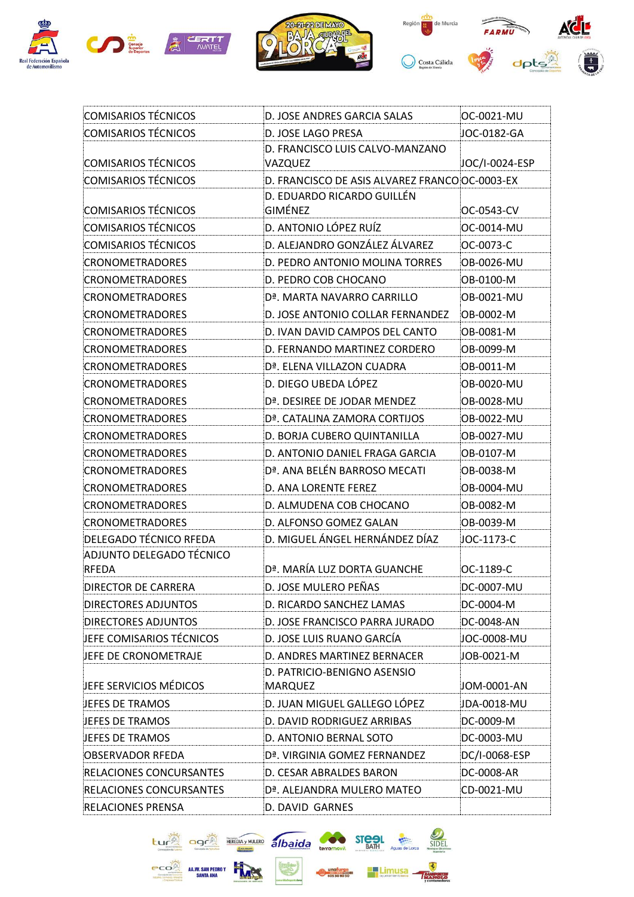





| <b>COMISARIOS TÉCNICOS</b>     | D. JOSE ANDRES GARCIA SALAS                    | OC-0021-MU     |
|--------------------------------|------------------------------------------------|----------------|
| <b>COMISARIOS TÉCNICOS</b>     | D. JOSE LAGO PRESA                             | JOC-0182-GA    |
| <b>COMISARIOS TÉCNICOS</b>     | D. FRANCISCO LUIS CALVO-MANZANO<br>VAZQUEZ     | JOC/I-0024-ESP |
| COMISARIOS TÉCNICOS            | D. FRANCISCO DE ASIS ALVAREZ FRANCO OC-0003-EX |                |
| <b>COMISARIOS TÉCNICOS</b>     | D. EDUARDO RICARDO GUILLÉN<br>GIMÉNEZ          | OC-0543-CV     |
| <b>COMISARIOS TÉCNICOS</b>     | D. ANTONIO LÓPEZ RUÍZ                          | OC-0014-MU     |
| <b>COMISARIOS TÉCNICOS</b>     | D. ALEJANDRO GONZÁLEZ ÁLVAREZ                  | OC-0073-C      |
| <b>CRONOMETRADORES</b>         | D. PEDRO ANTONIO MOLINA TORRES                 | OB-0026-MU     |
| <b>CRONOMETRADORES</b>         | D. PEDRO COB CHOCANO                           | OB-0100-M      |
| <b>CRONOMETRADORES</b>         | Dª. MARTA NAVARRO CARRILLO                     | OB-0021-MU     |
| <b>CRONOMETRADORES</b>         | D. JOSE ANTONIO COLLAR FERNANDEZ               | OB-0002-M      |
| <b>CRONOMETRADORES</b>         | D. IVAN DAVID CAMPOS DEL CANTO                 | OB-0081-M      |
| <b>CRONOMETRADORES</b>         | D. FERNANDO MARTINEZ CORDERO                   | OB-0099-M      |
| <b>CRONOMETRADORES</b>         | Dª. ELENA VILLAZON CUADRA                      | OB-0011-M      |
| <b>CRONOMETRADORES</b>         | D. DIEGO UBEDA LÓPEZ                           | OB-0020-MU     |
| <b>CRONOMETRADORES</b>         | D <sup>a</sup> . DESIREE DE JODAR MENDEZ       | OB-0028-MU     |
| <b>CRONOMETRADORES</b>         | Dª. CATALINA ZAMORA CORTIJOS                   | OB-0022-MU     |
| <b>CRONOMETRADORES</b>         | D. BORJA CUBERO QUINTANILLA                    | OB-0027-MU     |
| <b>CRONOMETRADORES</b>         | D. ANTONIO DANIEL FRAGA GARCIA                 | OB-0107-M      |
| <b>CRONOMETRADORES</b>         | Dª. ANA BELÉN BARROSO MECATI                   | OB-0038-M      |
| <b>CRONOMETRADORES</b>         | D. ANA LORENTE FEREZ                           | OB-0004-MU     |
| <b>CRONOMETRADORES</b>         | D. ALMUDENA COB CHOCANO                        | OB-0082-M      |
| <b>CRONOMETRADORES</b>         | D. ALFONSO GOMEZ GALAN                         | OB-0039-M      |
| DELEGADO TÉCNICO RFEDA         | D. MIGUEL ÁNGEL HERNÁNDEZ DÍAZ                 | JOC-1173-C     |
| ADJUNTO DELEGADO TÉCNICO       |                                                |                |
| <b>RFEDA</b>                   | Dª. MARÍA LUZ DORTA GUANCHE                    | OC-1189-C      |
| <b>DIRECTOR DE CARRERA</b>     | D. JOSE MULERO PEÑAS                           | DC-0007-MU     |
| DIRECTORES ADJUNTOS            | D. RICARDO SANCHEZ LAMAS                       | DC-0004-M      |
| <b>DIRECTORES ADJUNTOS</b>     | D. JOSE FRANCISCO PARRA JURADO                 | DC-0048-AN     |
| JEFE COMISARIOS TÉCNICOS       | D. JOSE LUIS RUANO GARCÍA                      | JOC-0008-MU    |
| JEFE DE CRONOMETRAJE           | D. ANDRES MARTINEZ BERNACER                    | JOB-0021-M     |
|                                | D. PATRICIO-BENIGNO ASENSIO                    |                |
| JEFE SERVICIOS MÉDICOS         | MARQUEZ                                        | JOM-0001-AN    |
| JEFES DE TRAMOS                | D. JUAN MIGUEL GALLEGO LÓPEZ                   | JDA-0018-MU    |
| JEFES DE TRAMOS                | D. DAVID RODRIGUEZ ARRIBAS                     | DC-0009-M      |
| JEFES DE TRAMOS                | D. ANTONIO BERNAL SOTO                         | DC-0003-MU     |
| OBSERVADOR RFEDA               | Dª. VIRGINIA GOMEZ FERNANDEZ                   | DC/I-0068-ESP  |
| RELACIONES CONCURSANTES        | D. CESAR ABRALDES BARON                        | DC-0008-AR     |
| <b>RELACIONES CONCURSANTES</b> | Dª. ALEJANDRA MULERO MATEO                     | CD-0021-MU     |
| <b>RELACIONES PRENSA</b>       | D. DAVID GARNES                                |                |